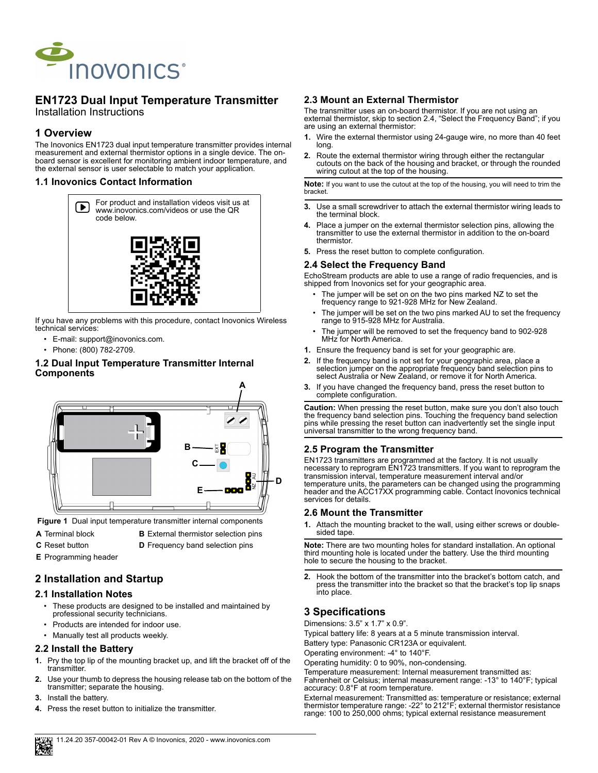

# **EN1723 Dual Input Temperature Transmitter**

Installation Instructions

## **1 Overview**

The Inovonics EN1723 dual input temperature transmitter provides internal measurement and external thermistor options in a single device. The on-board sensor is excellent for monitoring ambient indoor temperature, and the external sensor is user selectable to match your application.

#### **1.1 Inovonics Contact Information**



If you have any problems with this procedure, contact Inovonics Wireless technical services:

- E-mail: support@inovonics.com.
- Phone: (800) 782-2709.

#### **1.2 Dual Input Temperature Transmitter Internal Components**



 **Figure 1** Dual input temperature transmitter internal components

- **A** Terminal block **B** External thermistor selection pins
- **C** Reset button **D** Frequency band selection pins
- **E** Programming header

# **2 Installation and Startup**

#### **2.1 Installation Notes**

- These products are designed to be installed and maintained by professional security technicians.
- Products are intended for indoor use.
- Manually test all products weekly.

#### **2.2 Install the Battery**

- **1.** Pry the top lip of the mounting bracket up, and lift the bracket off of the **transmitter**
- **2.** Use your thumb to depress the housing release tab on the bottom of the transmitter; separate the housing.
- **3.** Install the battery.
- **4.** Press the reset button to initialize the transmitter.

## **2.3 Mount an External Thermistor**

The transmitter uses an on-board thermistor. If you are not using an external thermistor, skip to section 2.4, "Select the Frequency Band"; if you are using an external thermistor:

- **1.** Wire the external thermistor using 24-gauge wire, no more than 40 feet long.
- **2.** Route the external thermistor wiring through either the rectangular cutouts on the back of the housing and bracket, or through the rounded wiring cutout at the top of the housing.

**Note:** If you want to use the cutout at the top of the housing, you will need to trim the bracket.

- **3.** Use a small screwdriver to attach the external thermistor wiring leads to the terminal block.
- **4.** Place a jumper on the external thermistor selection pins, allowing the transmitter to use the external thermistor in addition to the on-board thermistor.
- **5.** Press the reset button to complete configuration.

## **2.4 Select the Frequency Band**

EchoStream products are able to use a range of radio frequencies, and is shipped from Inovonics set for your geographic area.

- The jumper will be set on on the two pins marked NZ to set the frequency range to 921-928 MHz for New Zealand.
- The jumper will be set on the two pins marked AU to set the frequency range to 915-928 MHz for Australia.
- The jumper will be removed to set the frequency band to 902-928 MHz for North America.
- **1.** Ensure the frequency band is set for your geographic are.
- **2.** If the frequency band is not set for your geographic area, place a selection jumper on the appropriate frequency band selection pins to select Australia or New Zealand, or remove it for North America.
- **3.** If you have changed the frequency band, press the reset button to complete configuration.

**Caution:** When pressing the reset button, make sure you don't also touch the frequency band selection pins. Touching the frequency band selection pins while pressing the reset button can inadvertently set the single input universal transmitter to the wrong frequency band.

## **2.5 Program the Transmitter**

EN1723 transmitters are programmed at the factory. It is not usually necessary to reprogram EN1723 transmitters. If you want to reprogram the transmission interval, temperature measurement interval and/or temperature units, the parameters can be changed using the programming header and the ACC17XX programming cable. Contact Inovonics technical services for details.

#### **2.6 Mount the Transmitter**

**1.** Attach the mounting bracket to the wall, using either screws or doublesided tape.

**Note:** There are two mounting holes for standard installation. An optional third mounting hole is located under the battery. Use the third mounting hole to secure the housing to the bracket.

**2.** Hook the bottom of the transmitter into the bracket's bottom catch, and press the transmitter into the bracket so that the bracket's top lip snaps into place.

## **3 Specifications**

Dimensions: 3.5" x 1.7" x 0.9".

Typical battery life: 8 years at a 5 minute transmission interval.

Battery type: Panasonic CR123A or equivalent.

Operating environment: -4° to 140°F.

Operating humidity: 0 to 90%, non-condensing.

Temperature measurement: Internal measurement transmitted as:

Fahrenheit or Celsius; internal measurement range: -13° to 140°F; typical accuracy: 0.8°F at room temperature.

External measurement: Transmitted as: temperature or resistance; external thermistor temperature range: -22° to 212°F; external thermistor resistance range: 100 to 250,000 ohms; typical external resistance measurement